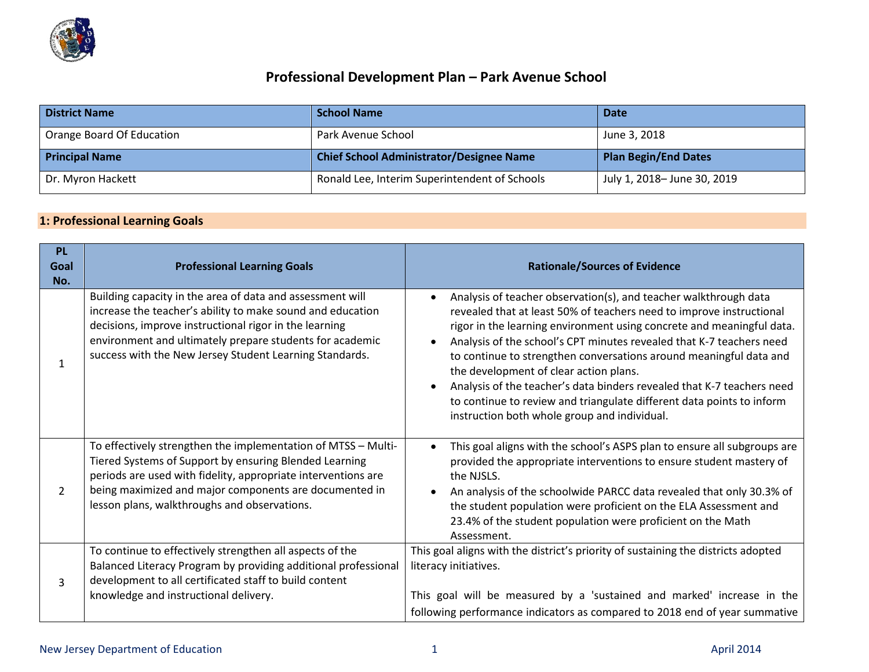

## **Professional Development Plan – Park Avenue School**

| <b>District Name</b>      | <b>School Name</b>                              | <b>Date</b>                 |
|---------------------------|-------------------------------------------------|-----------------------------|
| Orange Board Of Education | Park Avenue School                              | June 3, 2018                |
| <b>Principal Name</b>     | <b>Chief School Administrator/Designee Name</b> | <b>Plan Begin/End Dates</b> |
| Dr. Myron Hackett         | Ronald Lee, Interim Superintendent of Schools   | July 1, 2018– June 30, 2019 |

## **1: Professional Learning Goals**

| <b>PL</b><br>Goal<br>No. | <b>Professional Learning Goals</b>                                                                                                                                                                                                                                                                       | <b>Rationale/Sources of Evidence</b>                                                                                                                                                                                                                                                                                                                                                                                                                                                                                                                                                                                                   |
|--------------------------|----------------------------------------------------------------------------------------------------------------------------------------------------------------------------------------------------------------------------------------------------------------------------------------------------------|----------------------------------------------------------------------------------------------------------------------------------------------------------------------------------------------------------------------------------------------------------------------------------------------------------------------------------------------------------------------------------------------------------------------------------------------------------------------------------------------------------------------------------------------------------------------------------------------------------------------------------------|
| 1                        | Building capacity in the area of data and assessment will<br>increase the teacher's ability to make sound and education<br>decisions, improve instructional rigor in the learning<br>environment and ultimately prepare students for academic<br>success with the New Jersey Student Learning Standards. | Analysis of teacher observation(s), and teacher walkthrough data<br>revealed that at least 50% of teachers need to improve instructional<br>rigor in the learning environment using concrete and meaningful data.<br>Analysis of the school's CPT minutes revealed that K-7 teachers need<br>$\bullet$<br>to continue to strengthen conversations around meaningful data and<br>the development of clear action plans.<br>Analysis of the teacher's data binders revealed that K-7 teachers need<br>$\bullet$<br>to continue to review and triangulate different data points to inform<br>instruction both whole group and individual. |
| 2                        | To effectively strengthen the implementation of MTSS - Multi-<br>Tiered Systems of Support by ensuring Blended Learning<br>periods are used with fidelity, appropriate interventions are<br>being maximized and major components are documented in<br>lesson plans, walkthroughs and observations.       | This goal aligns with the school's ASPS plan to ensure all subgroups are<br>$\bullet$<br>provided the appropriate interventions to ensure student mastery of<br>the NJSLS.<br>An analysis of the schoolwide PARCC data revealed that only 30.3% of<br>$\bullet$<br>the student population were proficient on the ELA Assessment and<br>23.4% of the student population were proficient on the Math<br>Assessment.                                                                                                                                                                                                                      |
| 3                        | To continue to effectively strengthen all aspects of the<br>Balanced Literacy Program by providing additional professional<br>development to all certificated staff to build content<br>knowledge and instructional delivery.                                                                            | This goal aligns with the district's priority of sustaining the districts adopted<br>literacy initiatives.<br>This goal will be measured by a 'sustained and marked' increase in the<br>following performance indicators as compared to 2018 end of year summative                                                                                                                                                                                                                                                                                                                                                                     |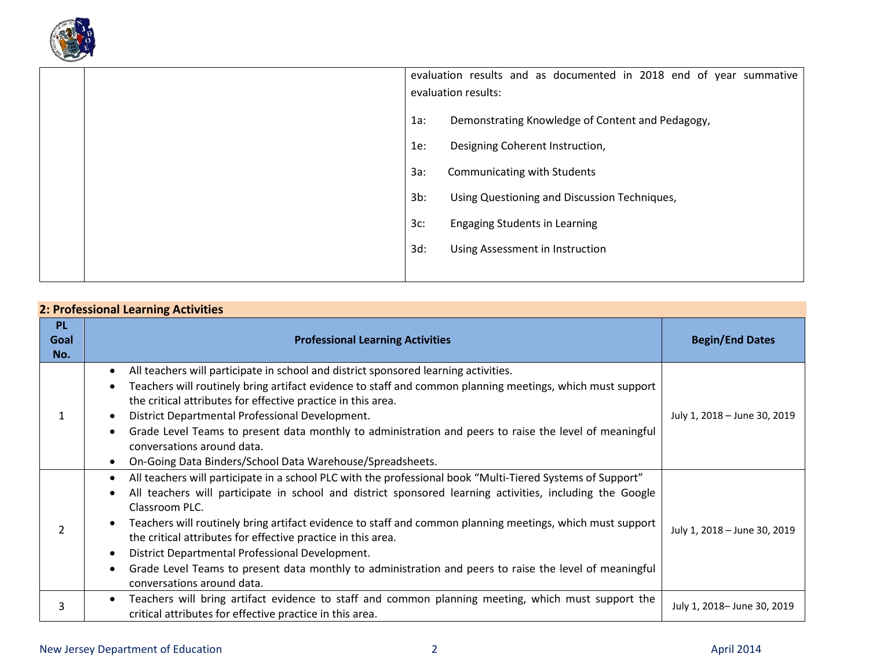

| evaluation results:                            | evaluation results and as documented in 2018 end of year summative |  |  |
|------------------------------------------------|--------------------------------------------------------------------|--|--|
| $1a$ :                                         | Demonstrating Knowledge of Content and Pedagogy,                   |  |  |
| Designing Coherent Instruction,<br>1e:         |                                                                    |  |  |
| $3a$ :<br>Communicating with Students          |                                                                    |  |  |
| $3b$ :                                         | Using Questioning and Discussion Techniques,                       |  |  |
| $3c$ :<br><b>Engaging Students in Learning</b> |                                                                    |  |  |
| $3d$ :<br>Using Assessment in Instruction      |                                                                    |  |  |
|                                                |                                                                    |  |  |

| <b>PL</b><br>Goal<br>No. | <b>Professional Learning Activities</b>                                                                                                                                                                                                                                                                                                                                                                                                                                                                                                                                                                                                                 | <b>Begin/End Dates</b>       |  |
|--------------------------|---------------------------------------------------------------------------------------------------------------------------------------------------------------------------------------------------------------------------------------------------------------------------------------------------------------------------------------------------------------------------------------------------------------------------------------------------------------------------------------------------------------------------------------------------------------------------------------------------------------------------------------------------------|------------------------------|--|
|                          | All teachers will participate in school and district sponsored learning activities.<br>$\bullet$<br>Teachers will routinely bring artifact evidence to staff and common planning meetings, which must support<br>$\bullet$<br>the critical attributes for effective practice in this area.<br>District Departmental Professional Development.<br>Grade Level Teams to present data monthly to administration and peers to raise the level of meaningful<br>conversations around data.<br>On-Going Data Binders/School Data Warehouse/Spreadsheets.<br>$\bullet$                                                                                         | July 1, 2018 - June 30, 2019 |  |
|                          | All teachers will participate in a school PLC with the professional book "Multi-Tiered Systems of Support"<br>$\bullet$<br>All teachers will participate in school and district sponsored learning activities, including the Google<br>Classroom PLC.<br>Teachers will routinely bring artifact evidence to staff and common planning meetings, which must support<br>the critical attributes for effective practice in this area.<br>District Departmental Professional Development.<br>$\bullet$<br>Grade Level Teams to present data monthly to administration and peers to raise the level of meaningful<br>$\bullet$<br>conversations around data. | July 1, 2018 - June 30, 2019 |  |
| 3                        | Teachers will bring artifact evidence to staff and common planning meeting, which must support the<br>$\bullet$<br>critical attributes for effective practice in this area.                                                                                                                                                                                                                                                                                                                                                                                                                                                                             | July 1, 2018- June 30, 2019  |  |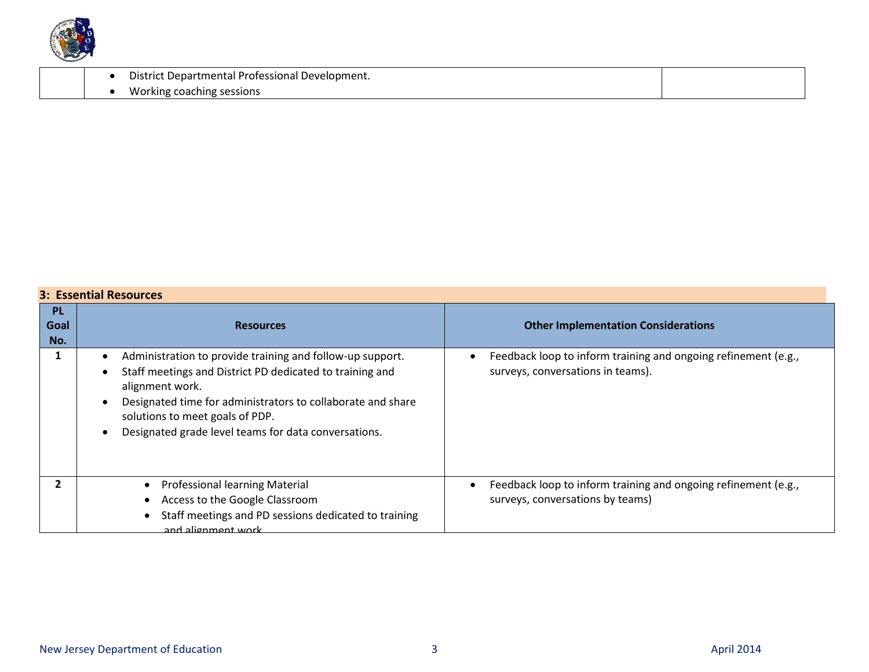

| District Departmental Professional Development. |  |
|-------------------------------------------------|--|
| coaching sessions "<br>Working c                |  |

## **3: Essential Resources**

|                          | 3. ESSETTURI NESUULLES                                                                                                                                                                                                                                                                             |                                                                                                     |  |  |
|--------------------------|----------------------------------------------------------------------------------------------------------------------------------------------------------------------------------------------------------------------------------------------------------------------------------------------------|-----------------------------------------------------------------------------------------------------|--|--|
| <b>PL</b><br>Goal<br>No. | <b>Resources</b>                                                                                                                                                                                                                                                                                   | <b>Other Implementation Considerations</b>                                                          |  |  |
|                          | Administration to provide training and follow-up support.<br>Staff meetings and District PD dedicated to training and<br>alignment work.<br>Designated time for administrators to collaborate and share<br>solutions to meet goals of PDP.<br>Designated grade level teams for data conversations. | Feedback loop to inform training and ongoing refinement (e.g.,<br>surveys, conversations in teams). |  |  |
|                          | <b>Professional learning Material</b><br>Access to the Google Classroom<br>Staff meetings and PD sessions dedicated to training<br>and alignment work                                                                                                                                              | Feedback loop to inform training and ongoing refinement (e.g.,<br>surveys, conversations by teams)  |  |  |